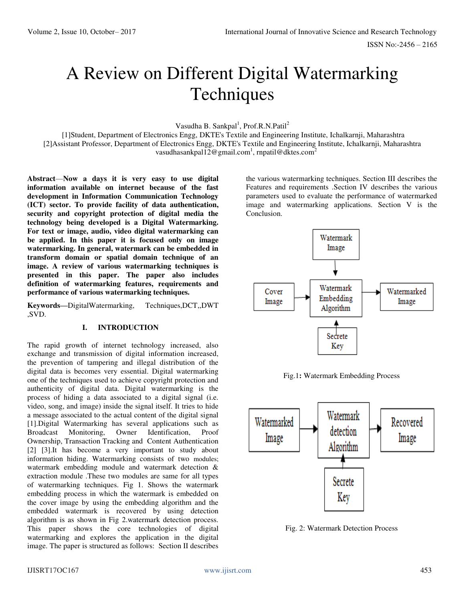# A Review on Different Digital Watermarking **Techniques**

Vasudha B. Sankpal<sup>1</sup>, Prof.R.N.Patil<sup>2</sup>

 [1]Student, Department of Electronics Engg, DKTE's Textile and Engineering Institute, Ichalkarnji, Maharashtra [2]Assistant Professor, Department of Electronics Engg, DKTE's Textile and Engineering Institute, Ichalkarnji, Maharashtra vasudhasankpal1[2@gmail.com](mailto:Smitapatil3011@gmail.com)<sup>1</sup>, rnpati[l@dktes.com](mailto:jubershaikh@rediffmail.com)<sup>2</sup>

**Abstract**—**Now a days it is very easy to use digital information available on internet because of the fast development in Information Communication Technology (ICT) sector. To provide facility of data authentication, security and copyright protection of digital media the technology being developed is a Digital Watermarking. For text or image, audio, video digital watermarking can be applied. In this paper it is focused only on image watermarking. In general, watermark can be embedded in transform domain or spatial domain technique of an image. A review of various watermarking techniques is presented in this paper. The paper also includes definition of watermarking features, requirements and performance of various watermarking techniques.**

**Keywords—**DigitalWatermarking, Techniques,DCT,,DWT ,SVD.

#### **I. INTRODUCTION**

The rapid growth of internet technology increased, also exchange and transmission of digital information increased, the prevention of tampering and illegal distribution of the digital data is becomes very essential. Digital watermarking one of the techniques used to achieve copyright protection and authenticity of digital data. Digital watermarking is the process of hiding a data associated to a digital signal (i.e. video, song, and image) inside the signal itself. It tries to hide a message associated to the actual content of the digital signal [1].Digital Watermarking has several applications such as Broadcast Monitoring, Owner Identification, Proof Ownership, Transaction Tracking and Content Authentication [2] [3].It has become a very important to study about information hiding. Watermarking consists of two modules; watermark embedding module and watermark detection & extraction module .These two modules are same for all types of watermarking techniques. Fig 1. Shows the watermark embedding process in which the watermark is embedded on the cover image by using the embedding algorithm and the embedded watermark is recovered by using detection algorithm is as shown in Fig 2.watermark detection process. This paper shows the core technologies of digital watermarking and explores the application in the digital image. The paper is structured as follows: Section II describes

the various watermarking techniques. Section III describes the Features and requirements .Section IV describes the various parameters used to evaluate the performance of watermarked image and watermarking applications. Section V is the Conclusion.



Fig.1**:** Watermark Embedding Process



Fig. 2: Watermark Detection Process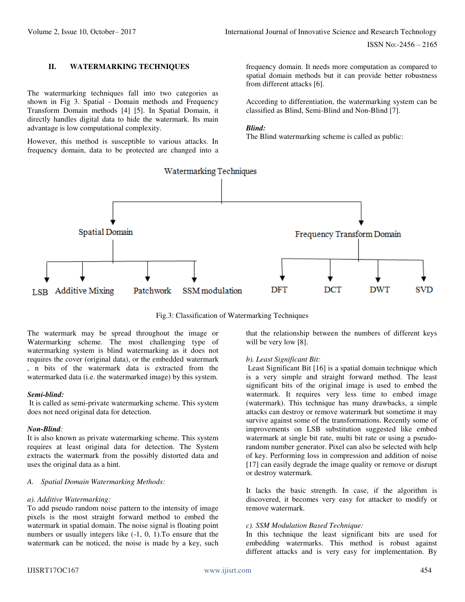# **II. WATERMARKING TECHNIQUES**

The watermarking techniques fall into two categories as shown in Fig 3. Spatial - Domain methods and Frequency Transform Domain methods [4] [5]. In Spatial Domain, it directly handles digital data to hide the watermark. Its main advantage is low computational complexity.

However, this method is susceptible to various attacks. In frequency domain, data to be protected are changed into a frequency domain. It needs more computation as compared to spatial domain methods but it can provide better robustness from different attacks [6].

According to differentiation, the watermarking system can be classified as Blind, Semi-Blind and Non-Blind [7].

#### *Blind:*

The Blind watermarking scheme is called as public:



Fig.3: Classification of Watermarking Techniques

The watermark may be spread throughout the image or Watermarking scheme. The most challenging type of watermarking system is blind watermarking as it does not requires the cover (original data), or the embedded watermark , n bits of the watermark data is extracted from the watermarked data (i.e. the watermarked image) by this system.

#### *Semi-blind:*

 It is called as semi-private watermarking scheme. This system does not need original data for detection.

#### *Non-Blind:*

It is also known as private watermarking scheme. This system requires at least original data for detection. The System extracts the watermark from the possibly distorted data and uses the original data as a hint.

#### *A. Spatial Domain Watermarking Methods:*

#### *a). Additive Watermarking:*

To add pseudo random noise pattern to the intensity of image pixels is the most straight forward method to embed the watermark in spatial domain. The noise signal is floating point numbers or usually integers like (-1, 0, 1).To ensure that the watermark can be noticed, the noise is made by a key, such that the relationship between the numbers of different keys will be very low [8].

#### *b). Least Significant Bit:*

 Least Significant Bit [16] is a spatial domain technique which is a very simple and straight forward method. The least significant bits of the original image is used to embed the watermark. It requires very less time to embed image (watermark). This technique has many drawbacks, a simple attacks can destroy or remove watermark but sometime it may survive against some of the transformations. Recently some of improvements on LSB substitution suggested like embed watermark at single bit rate, multi bit rate or using a pseudorandom number generator. Pixel can also be selected with help of key. Performing loss in compression and addition of noise [17] can easily degrade the image quality or remove or disrupt or destroy watermark.

It lacks the basic strength. In case, if the algorithm is discovered, it becomes very easy for attacker to modify or remove watermark.

#### *c). SSM Modulation Based Technique:*

In this technique the least significant bits are used for embedding watermarks. This method is robust against different attacks and is very easy for implementation. By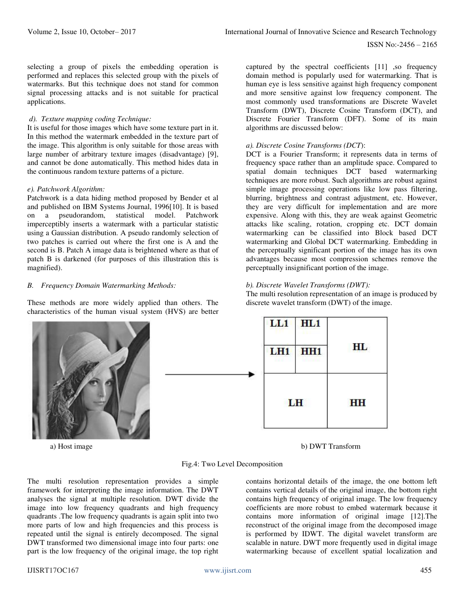selecting a group of pixels the embedding operation is performed and replaces this selected group with the pixels of watermarks. But this technique does not stand for common signal processing attacks and is not suitable for practical applications.

#### *d). Texture mapping coding Technique:*

It is useful for those images which have some texture part in it. In this method the watermark embedded in the texture part of the image. This algorithm is only suitable for those areas with large number of arbitrary texture images (disadvantage) [9], and cannot be done automatically. This method hides data in the continuous random texture patterns of a picture.

### *e). Patchwork Algorithm:*

Patchwork is a data hiding method proposed by Bender et al and published on IBM Systems Journal, 1996[10]. It is based on a pseudorandom, statistical model. Patchwork imperceptibly inserts a watermark with a particular statistic using a Gaussian distribution. A pseudo randomly selection of two patches is carried out where the first one is A and the second is B. Patch A image data is brightened where as that of patch B is darkened (for purposes of this illustration this is magnified).

## *B. Frequency Domain Watermarking Methods:*

These methods are more widely applied than others. The characteristics of the human visual system (HVS) are better



captured by the spectral coefficients [11] , so frequency domain method is popularly used for watermarking. That is human eye is less sensitive against high frequency component and more sensitive against low frequency component. The most commonly used transformations are Discrete Wavelet Transform (DWT), Discrete Cosine Transform (DCT), and Discrete Fourier Transform (DFT). Some of its main algorithms are discussed below:

#### *a). Discrete Cosine Transforms (DCT*):

DCT is a Fourier Transform; it represents data in terms of frequency space rather than an amplitude space. Compared to spatial domain techniques DCT based watermarking techniques are more robust. Such algorithms are robust against simple image processing operations like low pass filtering, blurring, brightness and contrast adjustment, etc. However, they are very difficult for implementation and are more expensive. Along with this, they are weak against Geometric attacks like scaling, rotation, cropping etc. DCT domain watermarking can be classified into Block based DCT watermarking and Global DCT watermarking. Embedding in the perceptually significant portion of the image has its own advantages because most compression schemes remove the perceptually insignificant portion of the image.

## *b). Discrete Wavelet Transforms (DWT):*

The multi resolution representation of an image is produced by discrete wavelet transform (DWT) of the image.



a) Host image b) DWT Transform

Fig.4: Two Level Decomposition

The multi resolution representation provides a simple framework for interpreting the image information. The DWT analyses the signal at multiple resolution. DWT divide the image into low frequency quadrants and high frequency quadrants .The low frequency quadrants is again split into two more parts of low and high frequencies and this process is repeated until the signal is entirely decomposed. The signal DWT transformed two dimensional image into four parts: one part is the low frequency of the original image, the top right contains horizontal details of the image, the one bottom left contains vertical details of the original image, the bottom right contains high frequency of original image. The low frequency coefficients are more robust to embed watermark because it contains more information of original image [12].The reconstruct of the original image from the decomposed image is performed by IDWT. The digital wavelet transform are scalable in nature. DWT more frequently used in digital image watermarking because of excellent spatial localization and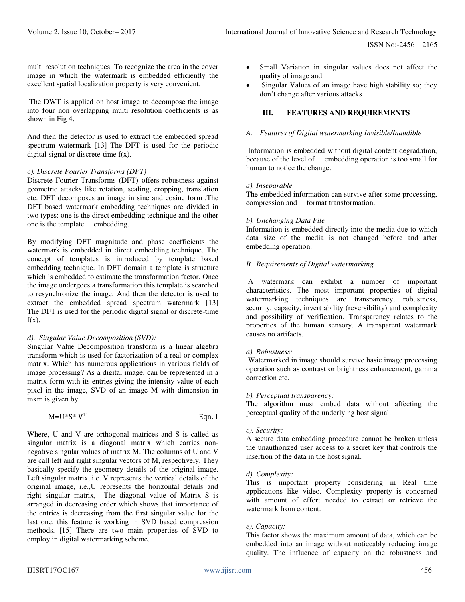ISSN No:-2456 – 2165

multi resolution techniques. To recognize the area in the cover image in which the watermark is embedded efficiently the excellent spatial localization property is very convenient.

 The DWT is applied on host image to decompose the image into four non overlapping multi resolution coefficients is as shown in Fig 4.

And then the detector is used to extract the embedded spread spectrum watermark [13] The DFT is used for the periodic digital signal or discrete-time  $f(x)$ .

## *c). Discrete Fourier Transforms (DFT)*

Discrete Fourier Transforms (DFT) offers robustness against geometric attacks like rotation, scaling, cropping, translation etc. DFT decomposes an image in sine and cosine form .The DFT based watermark embedding techniques are divided in two types: one is the direct embedding technique and the other one is the template embedding.

By modifying DFT magnitude and phase coefficients the watermark is embedded in direct embedding technique. The concept of templates is introduced by template based embedding technique. In DFT domain a template is structure which is embedded to estimate the transformation factor. Once the image undergoes a transformation this template is searched to resynchronize the image, And then the detector is used to extract the embedded spread spectrum watermark [13] The DFT is used for the periodic digital signal or discrete-time  $f(x)$ .

## *d). Singular Value Decomposition (SVD):*

Singular Value Decomposition transform is a linear algebra transform which is used for factorization of a real or complex matrix. Which has numerous applications in various fields of image processing? As a digital image, can be represented in a matrix form with its entries giving the intensity value of each pixel in the image, SVD of an image M with dimension in mxm is given by.

| $M=U^*S^*V^T$ | Eqn. $1$ |
|---------------|----------|
|               |          |

Where, U and V are orthogonal matrices and S is called as singular matrix is a diagonal matrix which carries nonnegative singular values of matrix M. The columns of U and V are call left and right singular vectors of M, respectively. They basically specify the geometry details of the original image. Left singular matrix, i.e. V represents the vertical details of the original image, i.e.,U represents the horizontal details and right singular matrix, The diagonal value of Matrix S is arranged in decreasing order which shows that importance of the entries is decreasing from the first singular value for the last one, this feature is working in SVD based compression methods. [15] There are two main properties of SVD to employ in digital watermarking scheme.

- Small Variation in singular values does not affect the quality of image and
- Singular Values of an image have high stability so; they don't change after various attacks.

## **III. FEATURES AND REQUIREMENTS**

## *A. Features of Digital watermarking Invisible/Inaudible*

Information is embedded without digital content degradation, because of the level of embedding operation is too small for human to notice the change.

#### *a). Inseparable*

The embedded information can survive after some processing, compression and format transformation.

## *b). Unchanging Data File*

Information is embedded directly into the media due to which data size of the media is not changed before and after embedding operation.

## *B. Requirements of Digital watermarking*

 A watermark can exhibit a number of important characteristics. The most important properties of digital watermarking techniques are transparency, robustness, security, capacity, invert ability (reversibility) and complexity and possibility of verification. Transparency relates to the properties of the human sensory. A transparent watermark causes no artifacts.

## *a). Robustness:*

Watermarked in image should survive basic image processing operation such as contrast or brightness enhancement, gamma correction etc.

#### *b). Perceptual transparency:*

The algorithm must embed data without affecting the perceptual quality of the underlying host signal.

## *c). Security:*

A secure data embedding procedure cannot be broken unless the unauthorized user access to a secret key that controls the insertion of the data in the host signal.

#### *d). Complexity:*

This is important property considering in Real time applications like video. Complexity property is concerned with amount of effort needed to extract or retrieve the watermark from content.

## *e). Capacity:*

This factor shows the maximum amount of data, which can be embedded into an image without noticeably reducing image quality. The influence of capacity on the robustness and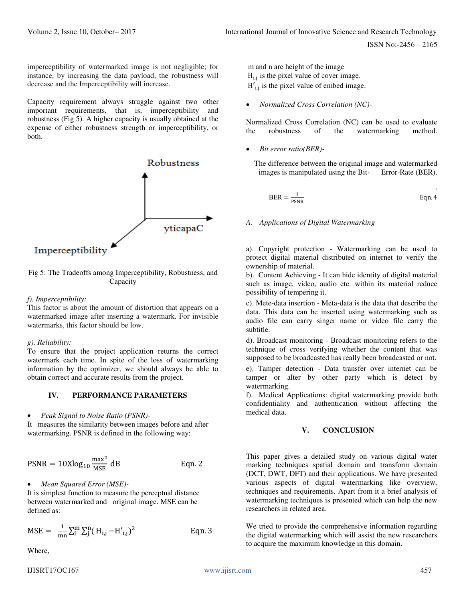imperceptibility of watermarked image is not negligible; for instance, by increasing the data payload, the robustness will decrease and the Imperceptibility will increase.

Capacity requirement always struggle against two other important requirements, that is, imperceptibility and robustness (Fig 5). A higher capacity is usually obtained at the expense of either robustness strength or imperceptibility, or both.



Fig 5: The Tradeoffs among Imperceptibility, Robustness, and Capacity

## *f). Imperceptibility:*

This factor is about the amount of distortion that appears on a watermarked image after inserting a watermark. For invisible watermarks, this factor should be low.

## *g). Reliability:*

To ensure that the project application returns the correct watermark each time. In spite of the loss of watermarking information by the optimizer, we should always be able to obtain correct and accurate results from the project.

## **IV. PERFORMANCE PARAMETERS**

#### *Peak Signal to Noise Ratio (PSNR)-*

It measures the similarity between images before and after watermarking. PSNR is defined in the following way:

$$
PSNR = 10X \log_{10} \frac{\text{max}^2}{\text{MSE}} \text{ dB} \qquad \text{Eqn. 2}
$$

*Mean Squared Error (MSE)-* 

It is simplest function to measure the perceptual distance between watermarked and original image. MSE can be defined as:

$$
MSE = \frac{1}{mn} \sum_{i}^{m} \sum_{j}^{n} (H_{i,j} - H'_{i,j})^2
$$
 Eqn. 3

Where,

 m and n are height of the image  $H_{11}$  is the pixel value of cover image.  $H'_{i,j}$  is the pixel value of embed image.

*Normalized Cross Correlation (NC)-* 

Normalized Cross Correlation (NC) can be used to evaluate the robustness of the watermarking method.

*Bit error ratio(BER)-* 

The difference between the original image and watermarked images is manipulated using the Bit- Error-Rate (BER).

$$
BER = \frac{1}{PSNR}
$$
Eqn. 4

# *A. Applications of Digital Watermarking*

a). Copyright protection - Watermarking can be used to protect digital material distributed on internet to verify the ownership of material.

b). Content Achieving - It can hide identity of digital material such as image, video, audio etc. within its material reduce possibility of tempering it.

c). Mete-data insertion - Meta-data is the data that describe the data. This data can be inserted using watermarking such as audio file can carry singer name or video file carry the subtitle.

d). Broadcast monitoring - Broadcast monitoring refers to the technique of cross verifying whether the content that was supposed to be broadcasted has really been broadcasted or not.

e). Tamper detection - Data transfer over internet can be tamper or alter by other party which is detect by watermarking.

f). Medical Applications: digital watermarking provide both confidentiality and authentication without affecting the medical data.

# **V. CONCLUSION**

This paper gives a detailed study on various digital water marking techniques spatial domain and transform domain (DCT, DWT, DFT) and their applications. We have presented various aspects of digital watermarking like overview, techniques and requirements. Apart from it a brief analysis of watermarking techniques is presented which can help the new researchers in related area.

We tried to provide the comprehensive information regarding the digital watermarking which will assist the new researchers to acquire the maximum knowledge in this domain.